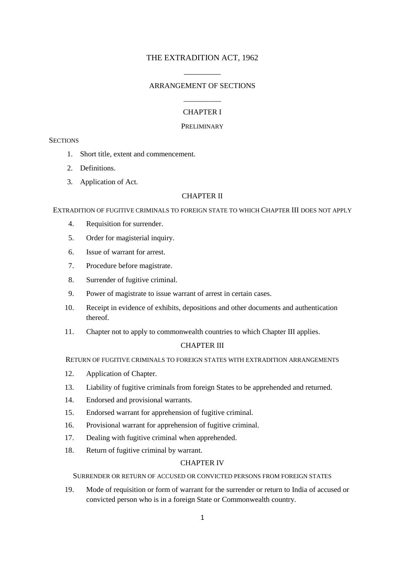# THE EXTRADITION ACT, 1962  $\overline{\phantom{a}}$  ,  $\overline{\phantom{a}}$

# ARRANGEMENT OF SECTIONS \_\_\_\_\_\_\_\_\_\_

## CHAPTER I

# PRELIMINARY

## **SECTIONS**

- 1. Short title, extent and commencement.
- 2. Definitions.
- 3. Application of Act.

## CHAPTER II

EXTRADITION OF FUGITIVE CRIMINALS TO FOREIGN STATE TO WHICH CHAPTER III DOES NOT APPLY

- 4. Requisition for surrender.
- 5. Order for magisterial inquiry.
- 6. Issue of warrant for arrest.
- 7. Procedure before magistrate.
- 8. Surrender of fugitive criminal.
- 9. Power of magistrate to issue warrant of arrest in certain cases.
- 10. Receipt in evidence of exhibits, depositions and other documents and authentication thereof.
- 11. Chapter not to apply to commonwealth countries to which Chapter III applies.

## CHAPTER III

RETURN OF FUGITIVE CRIMINALS TO FOREIGN STATES WITH EXTRADITION ARRANGEMENTS

- 12. Application of Chapter.
- 13. Liability of fugitive criminals from foreign States to be apprehended and returned.
- 14. Endorsed and provisional warrants.
- 15. Endorsed warrant for apprehension of fugitive criminal.
- 16. Provisional warrant for apprehension of fugitive criminal.
- 17. Dealing with fugitive criminal when apprehended.
- 18. Return of fugitive criminal by warrant.

#### CHAPTER IV

SURRENDER OR RETURN OF ACCUSED OR CONVICTED PERSONS FROM FOREIGN STATES

19. Mode of requisition or form of warrant for the surrender or return to India of accused or convicted person who is in a foreign State or Commonwealth country.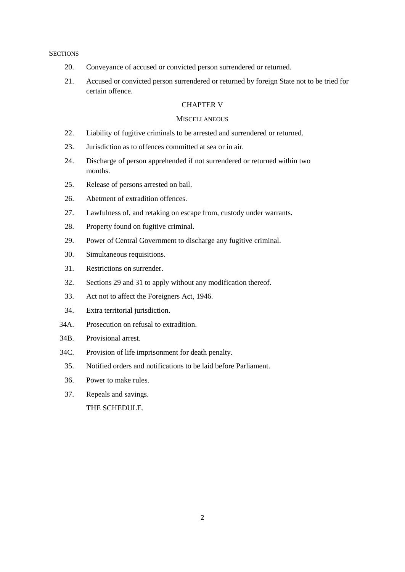### **SECTIONS**

- 20. Conveyance of accused or convicted person surrendered or returned.
- 21. Accused or convicted person surrendered or returned by foreign State not to be tried for certain offence.

### CHAPTER V

#### **MISCELLANEOUS**

- 22. Liability of fugitive criminals to be arrested and surrendered or returned.
- 23. Jurisdiction as to offences committed at sea or in air.
- 24. Discharge of person apprehended if not surrendered or returned within two months.
- 25. Release of persons arrested on bail.
- 26. Abetment of extradition offences.
- 27. Lawfulness of, and retaking on escape from, custody under warrants.
- 28. Property found on fugitive criminal.
- 29. Power of Central Government to discharge any fugitive criminal.
- 30. Simultaneous requisitions.
- 31. Restrictions on surrender.
- 32. Sections 29 and 31 to apply without any modification thereof.
- 33. Act not to affect the Foreigners Act, 1946.
- 34. Extra territorial jurisdiction.
- 34A. Prosecution on refusal to extradition.
- 34B. Provisional arrest.
- 34C. Provision of life imprisonment for death penalty.
	- 35. Notified orders and notifications to be laid before Parliament.
	- 36. Power to make rules.
	- 37. Repeals and savings. THE SCHEDULE.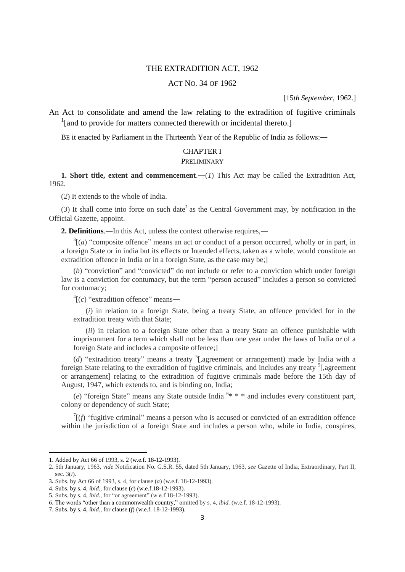## THE EXTRADITION ACT, 1962

## ACT NO. 34 OF 1962

[15*th September*, 1962.]

An Act to consolidate and amend the law relating to the extradition of fugitive criminals <sup>1</sup>[and to provide for matters connected therewith or incidental thereto.]

BE it enacted by Parliament in the Thirteenth Year of the Republic of India as follows:―

#### CHAPTER I

### PRELIMINARY

**1. Short title, extent and commencement**.—(*I*) This Act may be called the Extradition Act, 1962.

(*2*) It extends to the whole of India.

 $(3)$  It shall come into force on such date<sup>2</sup> as the Central Government may, by notification in the Official Gazette, appoint.

**2. Definitions**.**―**In this Act, unless the context otherwise requires,―

 $3\vert(a)$  "composite offence" means an act or conduct of a person occurred, wholly or in part, in a foreign State or in india but its effects or Intended effects, taken as a whole, would constitute an extradition offence in India or in a foreign State, as the case may be;]

(*b*) "conviction" and "convicted" do not include or refer to a conviction which under foreign law is a conviction for contumacy, but the term "person accused" includes a person so convicted for contumacy;

 $\frac{4}{c}$  (*c*) "extradition offence" means—

(*i*) in relation to a foreign State, being a treaty State, an offence provided for in the extradition treaty with that State;

(*ii*) in relation to a foreign State other than a treaty State an offence punishable with imprisonment for a term which shall not be less than one year under the laws of India or of a foreign State and includes a composite offence;]

( $d$ ) "extradition treaty" means a treaty  $\frac{5}{4}$ [,agreement or arrangement) made by India with a foreign State relating to the extradition of fugitive criminals, and includes any treaty <sup>5</sup>[,agreement or arrangement] relating to the extradition of fugitive criminals made before the 15th day of August, 1947, which extends to, and is binding on, India;

(e) "foreign State" means any State outside India<sup>6\*</sup>\*\* and includes every constituent part, colony or dependency of such State;

 $\int$ <sup>7</sup>[(*f*) "fugitive criminal" means a person who is accused or convicted of an extradition offence within the jurisdiction of a foreign State and includes a person who, while in India, conspires,

<sup>1.</sup> Added by Act 66 of 1993, s. 2 (w.e.f. 18-12-1993).

<sup>2</sup>**.** 5th January, 1963, *vide* Notification No. G.S.R. 55, dated 5th January, 1963, *see* Gazette of India, Extraordinary, Part II, sec. 3(*i*).

<sup>3</sup>**.** Subs. by Act 66 of 1993, s. 4, for clause (*a*) (w.e.f. 18-12-1993).

<sup>4.</sup> Subs. by s. 4, *ibid.*, for clause (*c*) (w.e.f.18-12-1993).

<sup>5.</sup> Subs. by s. 4, *ibid.*, for "or agreement" (w.e.f.18-12-1993).

<sup>6.</sup> The words "other than a commonwealth country," omitted by s. 4, *ibid*. (w.e.f. 18-12-1993).

<sup>7.</sup> Subs. by s. 4, *ibid.*, for clause (*f*) (w.e.f. 18-12-1993).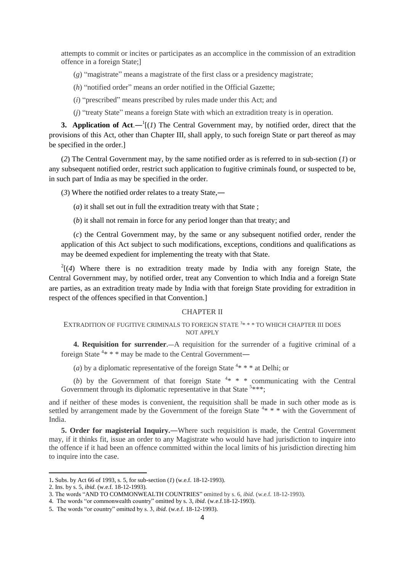attempts to commit or incites or participates as an accomplice in the commission of an extradition offence in a foreign State;]

(*g*) "magistrate" means a magistrate of the first class or a presidency magistrate;

- (*h*) "notified order" means an order notified in the Official Gazette;
- (*i*) "prescribed" means prescribed by rules made under this Act; and

(*j*) "treaty State" means a foreign State with which an extradition treaty is in operation.

**3. Application of Act.**— $^1$ [(*1*) The Central Government may, by notified order, direct that the provisions of this Act, other than Chapter III, shall apply, to such foreign State or part thereof as may be specified in the order.]

(*2*) The Central Government may, by the same notified order as is referred to in sub-section (*1*) or any subsequent notified order, restrict such application to fugitive criminals found, or suspected to be, in such part of India as may be specified in the order.

(*3*) Where the notified order relates to a treaty State,―

(*a*) it shall set out in full the extradition treaty with that State ;

(*b*) it shall not remain in force for any period longer than that treaty; and

(*c*) the Central Government may, by the same or any subsequent notified order, render the application of this Act subject to such modifications, exceptions, conditions and qualifications as may be deemed expedient for implementing the treaty with that State.

 $2^{2}$ [(4) Where there is no extradition treaty made by India with any foreign State, the Central Government may, by notified order, treat any Convention to which India and a foreign State are parties, as an extradition treaty made by India with that foreign State providing for extradition in respect of the offences specified in that Convention.]

## CHAPTER II

## EXTRADITION OF FUGITIVE CRIMINALS TO FOREIGN STATE 3\* \* \* TO WHICH CHAPTER III DOES NOT APPLY

**4. Requisition for surrender.―**A requisition for the surrender of a fugitive criminal of a foreign State <sup>4\*</sup> \* \* may be made to the Central Government—

(*a*) by a diplomatic representative of the foreign State  $4* * *$  at Delhi; or

(b) by the Government of that foreign State  $4* * *$  communicating with the Central Government through its diplomatic representative in that State <sup>5\*\*\*</sup>;

and if neither of these modes is convenient, the requisition shall be made in such other mode as is settled by arrangement made by the Government of the foreign State  $4* * *$  with the Government of India.

**5. Order for magisterial Inquiry.―**Where such requisition is made, the Central Government may, if it thinks fit, issue an order to any Magistrate who would have had jurisdiction to inquire into the offence if it had been an offence committed within the local limits of his jurisdiction directing him to inquire into the case.

<sup>1</sup>**.** Subs. by Act 66 of 1993, s. 5, for sub-section (*1*) (w.e.f. 18-12-1993).

<sup>2.</sup> Ins. by s. 5, *ibid*. (w.e.f. 18-12-1993).

<sup>3.</sup> The words "AND TO COMMONWEALTH COUNTRIES" omitted by s. 6, *ibid.* (w.e.f. 18-12-1993).

<sup>4.</sup> The words "or commonwealth country" omitted by s. 3, *ibid*. (w.e.f.18-12-1993).

<sup>5</sup>. The words "or country" omitted by s. 3, *ibid*. (w.e.f. 18-12-1993).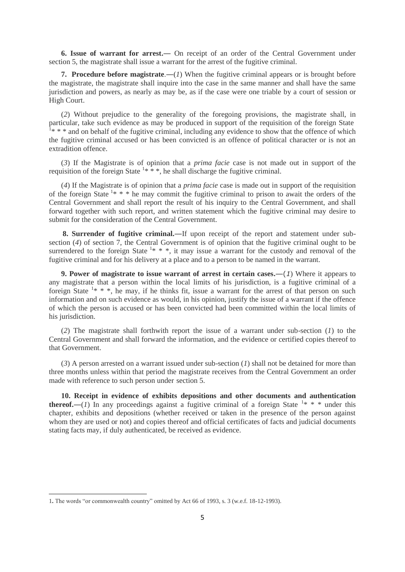**6. Issue of warrant for arrest.―** On receipt of an order of the Central Government under section 5, the magistrate shall issue a warrant for the arrest of the fugitive criminal.

**7. Procedure before magistrate.**—(*1*) When the fugitive criminal appears or is brought before the magistrate, the magistrate shall inquire into the case in the same manner and shall have the same jurisdiction and powers, as nearly as may be, as if the case were one triable by a court of session or High Court.

(*2*) Without prejudice to the generality of the foregoing provisions, the magistrate shall, in particular, take such evidence as may be produced in support of the requisition of the foreign State  $1$ \* \* and on behalf of the fugitive criminal, including any evidence to show that the offence of which the fugitive criminal accused or has been convicted is an offence of political character or is not an extradition offence.

(*3*) If the Magistrate is of opinion that a *prima facie* case is not made out in support of the requisition of the foreign State  $1^* * *$ , he shall discharge the fugitive criminal.

(*4*) If the Magistrate is of opinion that a *prima facie* case is made out in support of the requisition of the foreign State  $1* * *$  he may commit the fugitive criminal to prison to await the orders of the Central Government and shall report the result of his inquiry to the Central Government, and shall forward together with such report, and written statement which the fugitive criminal may desire to submit for the consideration of the Central Government.

8. Surrender of fugitive criminal.—If upon receipt of the report and statement under subsection (*4*) of section 7, the Central Government is of opinion that the fugitive criminal ought to be surrendered to the foreign State  $1$ \* \* \*, it may issue a warrant for the custody and removal of the fugitive criminal and for his delivery at a place and to a person to be named in the warrant.

**9. Power of magistrate to issue warrant of arrest in certain cases.―**(*1*) Where it appears to any magistrate that a person within the local limits of his jurisdiction, is a fugitive criminal of a foreign State  $1$ \* \* \*, he may, if he thinks fit, issue a warrant for the arrest of that person on such information and on such evidence as would, in his opinion, justify the issue of a warrant if the offence of which the person is accused or has been convicted had been committed within the local limits of his jurisdiction.

(*2*) The magistrate shall forthwith report the issue of a warrant under sub-section (*1*) to the Central Government and shall forward the information, and the evidence or certified copies thereof to that Government.

(*3*) A person arrested on a warrant issued under sub-section (*1*) shall not be detained for more than three months unless within that period the magistrate receives from the Central Government an order made with reference to such person under section 5.

**10. Receipt in evidence of exhibits depositions and other documents and authentication thereof.**—(*1*) In any proceedings against a fugitive criminal of a foreign State  $1$ \* \* \* under this chapter, exhibits and depositions (whether received or taken in the presence of the person against whom they are used or not) and copies thereof and official certificates of facts and judicial documents stating facts may, if duly authenticated, be received as evidence.

<sup>1</sup>**.** The words "or commonwealth country" omitted by Act 66 of 1993, s. 3 (w.e.f. 18-12-1993).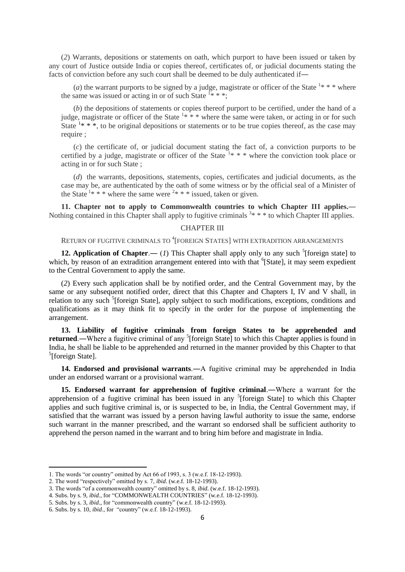(*2*) Warrants, depositions or statements on oath, which purport to have been issued or taken by any court of Justice outside India or copies thereof, certificates of, or judicial documents stating the facts of conviction before any such court shall be deemed to be duly authenticated if―

(*a*) the warrant purports to be signed by a judge, magistrate or officer of the State  $1**$  \* where the same was issued or acting in or of such State  $1**$ ;

(*b*) the depositions of statements or copies thereof purport to be certified, under the hand of a judge, magistrate or officer of the State  $1**$  where the same were taken, or acting in or for such State  $1$ \* \* \*, to be original depositions or statements or to be true copies thereof, as the case may require ;

(*c*) the certificate of, or judicial document stating the fact of, a conviction purports to be certified by a judge, magistrate or officer of the State  $1$ \* \* \* where the conviction took place or acting in or for such State ;

(*d*) the warrants, depositions, statements, copies, certificates and judicial documents, as the case may be, are authenticated by the oath of some witness or by the official seal of a Minister of the State  $1**$  \* where the same were  $2**$  \* issued, taken or given.

**11. Chapter not to apply to Commonwealth countries to which Chapter III applies.―** Nothing contained in this Chapter shall apply to fugitive criminals  $3$ \* \* \* to which Chapter III applies.

# CHAPTER III

RETURN OF FUGITIVE CRIMINALS TO <sup>4</sup>[FOREIGN STATES] WITH EXTRADITION ARRANGEMENTS

**12. Application of Chapter**.— (*1*) This Chapter shall apply only to any such <sup>5</sup>[foreign state] to which, by reason of an extradition arrangement entered into with that <sup>6</sup>[State], it may seem expedient to the Central Government to apply the same.

(*2*) Every such application shall be by notified order, and the Central Government may, by the same or any subsequent notified order, direct that this Chapter and Chapters I, IV and V shall, in relation to any such <sup>5</sup>[foreign State], apply subject to such modifications, exceptions, conditions and qualifications as it may think fit to specify in the order for the purpose of implementing the arrangement.

**13. Liability of fugitive criminals from foreign States to be apprehended and**  returned.—Where a fugitive criminal of any <sup>5</sup>[foreign State] to which this Chapter applies is found in India, he shall be liable to be apprehended and returned in the manner provided by this Chapter to that <sup>5</sup>[foreign State].

**14. Endorsed and provisional warrants**.―A fugitive criminal may be apprehended in India under an endorsed warrant or a provisional warrant.

**15. Endorsed warrant for apprehension of fugitive criminal**.―Where a warrant for the apprehension of a fugitive criminal has been issued in any <sup>5</sup>[foreign State] to which this Chapter applies and such fugitive criminal is, or is suspected to be, in India, the Central Government may, if satisfied that the warrant was issued by a person having lawful authority to issue the same, endorse such warrant in the manner prescribed, and the warrant so endorsed shall be sufficient authority to apprehend the person named in the warrant and to bring him before and magistrate in India.

<sup>1.</sup> The words "or country" omitted by Act 66 of 1993, s. 3 (w.e.f. 18-12-1993).

<sup>2.</sup> The word "respectively" omitted by s. 7, *ibid*. (w.e.f. 18-12-1993).

<sup>3.</sup> The words "of a commonwealth country" omitted by s. 8, *ibid*. (w.e.f. 18-12-1993).

<sup>4.</sup> Subs. by s. 9, *ibid.*, for "COMMONWEALTH COUNTRIES" (w.e.f. 18-12-1993).

<sup>5.</sup> Subs. by s. 3, *ibid*., for "commonwealth country" (w.e.f. 18-12-1993).

<sup>6.</sup> Subs. by s. 10, *ibid*., for "country" (w.e.f. 18-12-1993).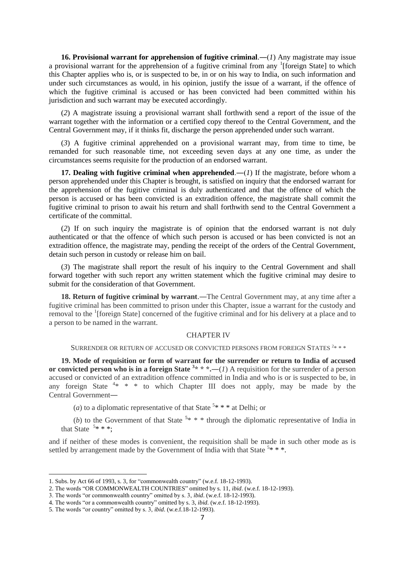**16. Provisional warrant for apprehension of fugitive criminal.—(***1***) Any magistrate may issue** a provisional warrant for the apprehension of a fugitive criminal from any <sup>1</sup>[foreign State] to which this Chapter applies who is, or is suspected to be, in or on his way to India, on such information and under such circumstances as would, in his opinion, justify the issue of a warrant, if the offence of which the fugitive criminal is accused or has been convicted had been committed within his jurisdiction and such warrant may be executed accordingly.

(*2*) A magistrate issuing a provisional warrant shall forthwith send a report of the issue of the warrant together with the information or a certified copy thereof to the Central Government, and the Central Government may, if it thinks fit, discharge the person apprehended under such warrant.

(*3*) A fugitive criminal apprehended on a provisional warrant may, from time to time, be remanded for such reasonable time, not exceeding seven days at any one time, as under the circumstances seems requisite for the production of an endorsed warrant.

**17. Dealing with fugitive criminal when apprehended.**—( $I$ ) If the magistrate, before whom a person apprehended under this Chapter is brought, is satisfied on inquiry that the endorsed warrant for the apprehension of the fugitive criminal is duly authenticated and that the offence of which the person is accused or has been convicted is an extradition offence, the magistrate shall commit the fugitive criminal to prison to await his return and shall forthwith send to the Central Government a certificate of the committal.

(*2*) If on such inquiry the magistrate is of opinion that the endorsed warrant is not duly authenticated or that the offence of which such person is accused or has been convicted is not an extradition offence, the magistrate may, pending the receipt of the orders of the Central Government, detain such person in custody or release him on bail.

(*3*) The magistrate shall report the result of his inquiry to the Central Government and shall forward together with such report any written statement which the fugitive criminal may desire to submit for the consideration of that Government.

18. Return of fugitive criminal by warrant.—The Central Government may, at any time after a fugitive criminal has been committed to prison under this Chapter, issue a warrant for the custody and removal to the <sup>1</sup>[foreign State] concerned of the fugitive criminal and for his delivery at a place and to a person to be named in the warrant.

#### CHAPTER IV

#### SURRENDER OR RETURN OF ACCUSED OR CONVICTED PERSONS FROM FOREIGN STATES<sup>2</sup>\*\*\*

**19. Mode of requisition or form of warrant for the surrender or return to India of accused or convicted person who is in a foreign State**  $3* * *$ **.—(1) A requisition for the surrender of a person** accused or convicted of an extradition offence committed in India and who is or is suspected to be, in any foreign State  $4* * *$  to which Chapter III does not apply, may be made by the Central Government**―**

(*a*) to a diplomatic representative of that State  $5**$  \* at Delhi; or

(b) to the Government of that State  $5* * *$  through the diplomatic representative of India in that State  $5***$ ;

and if neither of these modes is convenient, the requisition shall be made in such other mode as is settled by arrangement made by the Government of India with that State  $5***$ .

<sup>1.</sup> Subs. by Act 66 of 1993, s. 3, for "commonwealth country" (w.e.f. 18-12-1993).

<sup>2.</sup> The words "OR COMMONWEALTH COUNTRIES" omitted by s. 11, *ibid*. (w.e.f. 18-12-1993).

<sup>3.</sup> The words "or commonwealth country" omitted by s. 3, *ibid*. (w.e.f. 18-12-1993).

<sup>4.</sup> The words "or a commonwealth country" omitted by s. 3, *ibid*. (w.e.f. 18-12-1993).

<sup>5.</sup> The words "or country" omitted by s. 3, *ibid*. (w.e.f.18-12-1993).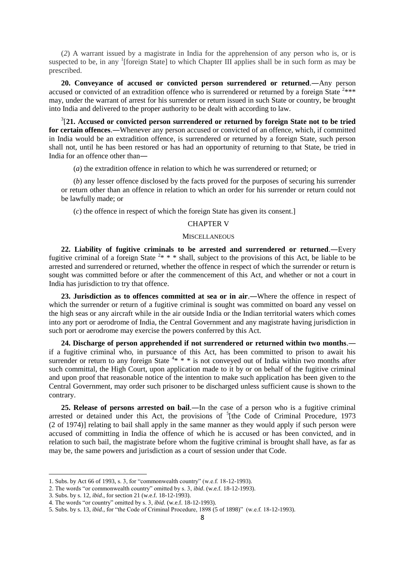(*2*) A warrant issued by a magistrate in India for the apprehension of any person who is, or is suspected to be, in any <sup>1</sup>[foreign State] to which Chapter III applies shall be in such form as may be prescribed.

**20. Conveyance of accused or convicted person surrendered or returned**.―Any person accused or convicted of an extradition offence who is surrendered or returned by a foreign State  $2***$ may, under the warrant of arrest for his surrender or return issued in such State or country, be brought into India and delivered to the proper authority to be dealt with according to law.

<sup>3</sup>[21. Accused or convicted person surrendered or returned by foreign State not to be tried **for certain offences**.―Whenever any person accused or convicted of an offence, which, if committed in India would be an extradition offence, is surrendered or returned by a foreign State, such person shall not, until he has been restored or has had an opportunity of returning to that State, be tried in India for an offence other than―

(*a*) the extradition offence in relation to which he was surrendered or returned; or

(*b*) any lesser offence disclosed by the facts proved for the purposes of securing his surrender or return other than an offence in relation to which an order for his surrender or return could not be lawfully made; or

(*c*) the offence in respect of which the foreign State has given its consent.]

#### CHAPTER V

#### **MISCELLANEOUS**

**22. Liability of fugitive criminals to be arrested and surrendered or returned**.―Every fugitive criminal of a foreign State  $2* * *$  shall, subject to the provisions of this Act, be liable to be arrested and surrendered or returned, whether the offence in respect of which the surrender or return is sought was committed before or after the commencement of this Act, and whether or not a court in India has jurisdiction to try that offence.

**23. Jurisdiction as to offences committed at sea or in air**.―Where the offence in respect of which the surrender or return of a fugitive criminal is sought was committed on board any vessel on the high seas or any aircraft while in the air outside India or the Indian territorial waters which comes into any port or aerodrome of India, the Central Government and any magistrate having jurisdiction in such port or aerodrome may exercise the powers conferred by this Act.

**24. Discharge of person apprehended if not surrendered or returned within two months**.― if a fugitive criminal who, in pursuance of this Act, has been committed to prison to await his surrender or return to any foreign State  $4* * *$  is not conveyed out of India within two months after such committal, the High Court, upon application made to it by or on behalf of the fugitive criminal and upon proof that reasonable notice of the intention to make such application has been given to the Central Government, may order such prisoner to be discharged unless sufficient cause is shown to the contrary.

**25. Release of persons arrested on bail**.―In the case of a person who is a fugitive criminal arrested or detained under this Act, the provisions of <sup>5</sup>[the Code of Criminal Procedure, 1973 (2 of 1974)] relating to bail shall apply in the same manner as they would apply if such person were accused of committing in India the offence of which he is accused or has been convicted, and in relation to such bail, the magistrate before whom the fugitive criminal is brought shall have, as far as may be, the same powers and jurisdiction as a court of session under that Code.

<sup>1.</sup> Subs. by Act 66 of 1993, s. 3, for "commonwealth country" (w.e.f. 18-12-1993).

<sup>2.</sup> The words "or commonwealth country" omitted by s. 3, *ibid*. (w.e.f. 18-12-1993).

<sup>3.</sup> Subs. by s. 12, *ibid*., for section 21 (w.e.f. 18-12-1993).

<sup>4.</sup> The words "or country" omitted by s. 3, *ibid*. (w.e.f. 18-12-1993).

<sup>5.</sup> Subs. by s. 13, *ibid.,* for "the Code of Criminal Procedure, 1898 (5 of 1898)" (w.e.f. 18-12-1993).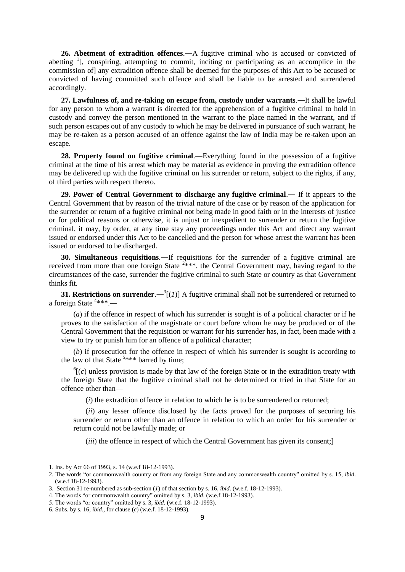**26. Abetment of extradition offences**.―A fugitive criminal who is accused or convicted of abetting <sup>1</sup>[, conspiring, attempting to commit, inciting or participating as an accomplice in the commission of] any extradition offence shall be deemed for the purposes of this Act to be accused or convicted of having committed such offence and shall be liable to be arrested and surrendered accordingly.

**27. Lawfulness of, and re-taking on escape from, custody under warrants**.―It shall be lawful for any person to whom a warrant is directed for the apprehension of a fugitive criminal to hold in custody and convey the person mentioned in the warrant to the place named in the warrant, and if such person escapes out of any custody to which he may be delivered in pursuance of such warrant, he may be re-taken as a person accused of an offence against the law of India may be re-taken upon an escape.

**28. Property found on fugitive criminal**.―Everything found in the possession of a fugitive criminal at the time of his arrest which may be material as evidence in proving the extradition offence may be delivered up with the fugitive criminal on his surrender or return, subject to the rights, if any, of third parties with respect thereto.

**29. Power of Central Government to discharge any fugitive criminal**.― If it appears to the Central Government that by reason of the trivial nature of the case or by reason of the application for the surrender or return of a fugitive criminal not being made in good faith or in the interests of justice or for political reasons or otherwise, it is unjust or inexpedient to surrender or return the fugitive criminal, it may, by order, at any time stay any proceedings under this Act and direct any warrant issued or endorsed under this Act to be cancelled and the person for whose arrest the warrant has been issued or endorsed to be discharged.

**30. Simultaneous requisitions**.―If requisitions for the surrender of a fugitive criminal are received from more than one foreign State  $2**$ , the Central Government may, having regard to the circumstances of the case, surrender the fugitive criminal to such State or country as that Government thinks fit.

**31. Restrictions on surrender.**  $-\binom{3}{I}$  A fugitive criminal shall not be surrendered or returned to a foreign State<sup>4\*\*\*</sup>.-

(*a*) if the offence in respect of which his surrender is sought is of a political character or if he proves to the satisfaction of the magistrate or court before whom he may be produced or of the Central Government that the requisition or warrant for his surrender has, in fact, been made with a view to try or punish him for an offence of a political character;

(*b*) if prosecution for the offence in respect of which his surrender is sought is according to the law of that State  $5***$  barred by time;

 $<sup>6</sup>$ [(*c*) unless provision is made by that law of the foreign State or in the extradition treaty with</sup> the foreign State that the fugitive criminal shall not be determined or tried in that State for an offence other than—

(*i*) the extradition offence in relation to which he is to be surrendered or returned;

(*ii*) any lesser offence disclosed by the facts proved for the purposes of securing his surrender or return other than an offence in relation to which an order for his surrender or return could not be lawfully made; or

(*iii*) the offence in respect of which the Central Government has given its consent;]

<sup>1.</sup> Ins. by Act 66 of 1993, s. 14 (w.e.f 18-12-1993).

<sup>2.</sup> The words "or commonwealth country or from any foreign State and any commonwealth country" omitted by s. 15, *ibid*. (w.e.f 18-12-1993).

<sup>3.</sup> Section 31 re-numbered as sub-section (*1*) of that section by s. 16, *ibid*. (w.e.f. 18-12-1993).

<sup>4.</sup> The words "or commonwealth country" omitted by s. 3, *ibid*. (w.e.f.18-12-1993).

<sup>5.</sup> The words "or country" omitted by s. 3, *ibid*. (w.e.f. 18-12-1993).

<sup>6.</sup> Subs. by s. 16, *ibid*., for clause (*c*) (w.e.f. 18-12-1993).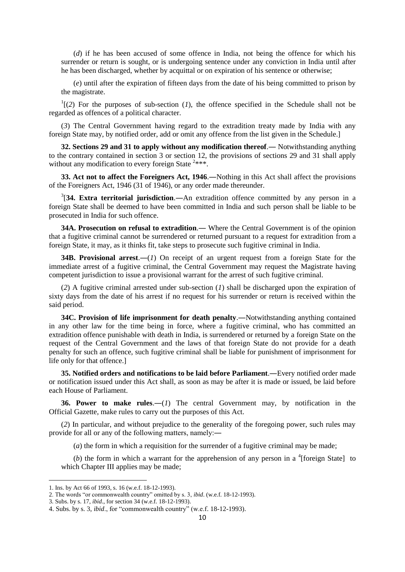(*d*) if he has been accused of some offence in India, not being the offence for which his surrender or return is sought, or is undergoing sentence under any conviction in India until after he has been discharged, whether by acquittal or on expiration of his sentence or otherwise;

(*e*) until after the expiration of fifteen days from the date of his being committed to prison by the magistrate.

 $1$ <sup>1</sup>[(2) For the purposes of sub-section (*1*), the offence specified in the Schedule shall not be regarded as offences of a political character.

(*3*) The Central Government having regard to the extradition treaty made by India with any foreign State may, by notified order, add or omit any offence from the list given in the Schedule.]

**32. Sections 29 and 31 to apply without any modification thereof**.― Notwithstanding anything to the contrary contained in section 3 or section 12, the provisions of sections 29 and 31 shall apply without any modification to every foreign State  $2***$ .

**33. Act not to affect the Foreigners Act, 1946**.―Nothing in this Act shall affect the provisions of the Foreigners Act, 1946 (31 of 1946), or any order made thereunder.

3 [**34. Extra territorial jurisdiction**.―An extradition offence committed by any person in a foreign State shall be deemed to have been committed in India and such person shall be liable to be prosecuted in India for such offence.

**34A. Prosecution on refusal to extradition**.― Where the Central Government is of the opinion that a fugitive criminal cannot be surrendered or returned pursuant to a request for extradition from a foreign State, it may, as it thinks fit, take steps to prosecute such fugitive criminal in India.

**34B. Provisional arrest**.―(*1*) On receipt of an urgent request from a foreign State for the immediate arrest of a fugitive criminal, the Central Government may request the Magistrate having competent jurisdiction to issue a provisional warrant for the arrest of such fugitive criminal.

(*2*) A fugitive criminal arrested under sub-section (*1*) shall be discharged upon the expiration of sixty days from the date of his arrest if no request for his surrender or return is received within the said period.

**34C. Provision of life imprisonment for death penalty**.―Notwithstanding anything contained in any other law for the time being in force, where a fugitive criminal, who has committed an extradition offence punishable with death in India, is surrendered or returned by a foreign State on the request of the Central Government and the laws of that foreign State do not provide for a death penalty for such an offence, such fugitive criminal shall be liable for punishment of imprisonment for life only for that offence.]

**35. Notified orders and notifications to be laid before Parliament**.―Every notified order made or notification issued under this Act shall, as soon as may be after it is made or issued, be laid before each House of Parliament.

**36. Power to make rules**.―(*1*) The central Government may, by notification in the Official Gazette, make rules to carry out the purposes of this Act.

(*2*) In particular, and without prejudice to the generality of the foregoing power, such rules may provide for all or any of the following matters, namely:―

(*a*) the form in which a requisition for the surrender of a fugitive criminal may be made;

(b) the form in which a warrant for the apprehension of any person in a <sup>4</sup>[foreign State] to which Chapter III applies may be made;

 $\overline{a}$ 

<sup>1.</sup> Ins. by Act 66 of 1993, s. 16 (w.e.f. 18-12-1993).

<sup>2.</sup> The words "or commonwealth country" omitted by s. 3, *ibid*. (w.e.f. 18-12-1993).

<sup>3.</sup> Subs. by s. 17, *ibid*., for section 34 (w.e.f. 18-12-1993).

<sup>4.</sup> Subs. by s. 3, *ibid*., for "commonwealth country" (w.e.f. 18-12-1993).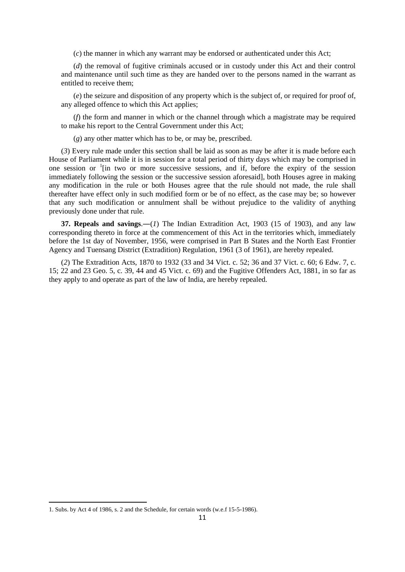(*c*) the manner in which any warrant may be endorsed or authenticated under this Act;

(*d*) the removal of fugitive criminals accused or in custody under this Act and their control and maintenance until such time as they are handed over to the persons named in the warrant as entitled to receive them;

(*e*) the seizure and disposition of any property which is the subject of, or required for proof of, any alleged offence to which this Act applies;

(*f*) the form and manner in which or the channel through which a magistrate may be required to make his report to the Central Government under this Act;

(*g*) any other matter which has to be, or may be, prescribed.

(*3*) Every rule made under this section shall be laid as soon as may be after it is made before each House of Parliament while it is in session for a total period of thirty days which may be comprised in one session or  $\frac{1}{1}$  in two or more successive sessions, and if, before the expiry of the session immediately following the session or the successive session aforesaid], both Houses agree in making any modification in the rule or both Houses agree that the rule should not made, the rule shall thereafter have effect only in such modified form or be of no effect, as the case may be; so however that any such modification or annulment shall be without prejudice to the validity of anything previously done under that rule.

**37. Repeals and savings**.―(*1*) The Indian Extradition Act, 1903 (15 of 1903), and any law corresponding thereto in force at the commencement of this Act in the territories which, immediately before the 1st day of November, 1956, were comprised in Part B States and the North East Frontier Agency and Tuensang District (Extradition) Regulation, 1961 (3 of 1961), are hereby repealed.

(*2*) The Extradition Acts, 1870 to 1932 (33 and 34 Vict. c. 52; 36 and 37 Vict. c. 60; 6 Edw. 7, c. 15; 22 and 23 Geo. 5, c. 39, 44 and 45 Vict. c. 69) and the Fugitive Offenders Act, 1881, in so far as they apply to and operate as part of the law of India, are hereby repealed.

<sup>1.</sup> Subs. by Act 4 of 1986, s. 2 and the Schedule, for certain words (w.e.f 15-5-1986).